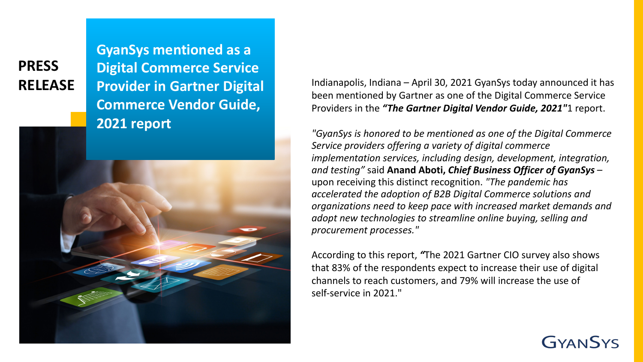**PRESS**

**GyanSys mentioned as a Digital Commerce Service Provider in Gartner Digital Commerce Vendor Guide, 2021 report**



RELEASE Provider in Gartner Digital Indianapolis, Indiana – April 30, 2021 GyanSys today announced it has been mentioned by Gartner as one of the Digital Commerce Service Providers in the *"The Gartner Digital Vendor Guide, 2021"*1 report.

> *"GyanSys is honored to be mentioned as one of the Digital Commerce Service providers offering a variety of digital commerce implementation services, including design, development, integration, and testing"* said **Anand Aboti,** *Chief Business Officer of GyanSys* – upon receiving this distinct recognition. *"The pandemic has accelerated the adoption of B2B Digital Commerce solutions and organizations need to keep pace with increased market demands and adopt new technologies to streamline online buying, selling and procurement processes."*

According to this report, *"*The 2021 Gartner CIO survey also shows that 83% of the respondents expect to increase their use of digital channels to reach customers, and 79% will increase the use of self-service in 2021."